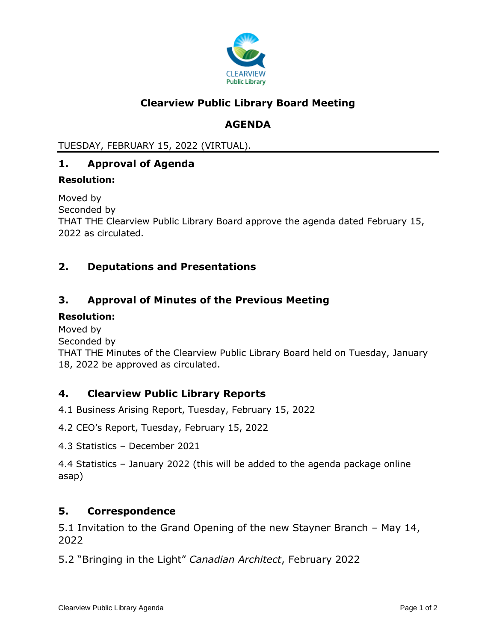

# **Clearview Public Library Board Meeting**

# **AGENDA**

TUESDAY, FEBRUARY 15, 2022 (VIRTUAL).

## **1. Approval of Agenda**

#### **Resolution:**

Moved by Seconded by THAT THE Clearview Public Library Board approve the agenda dated February 15, 2022 as circulated.

### **2. Deputations and Presentations**

### **3. Approval of Minutes of the Previous Meeting**

#### **Resolution:**

Moved by

Seconded by

THAT THE Minutes of the Clearview Public Library Board held on Tuesday, January 18, 2022 be approved as circulated.

### **4. Clearview Public Library Reports**

4.1 Business Arising Report, Tuesday, February 15, 2022

4.2 CEO's Report, Tuesday, February 15, 2022

4.3 Statistics – December 2021

4.4 Statistics – January 2022 (this will be added to the agenda package online asap)

#### **5. Correspondence**

5.1 Invitation to the Grand Opening of the new Stayner Branch – May 14, 2022

5.2 "Bringing in the Light" *Canadian Architect*, February 2022